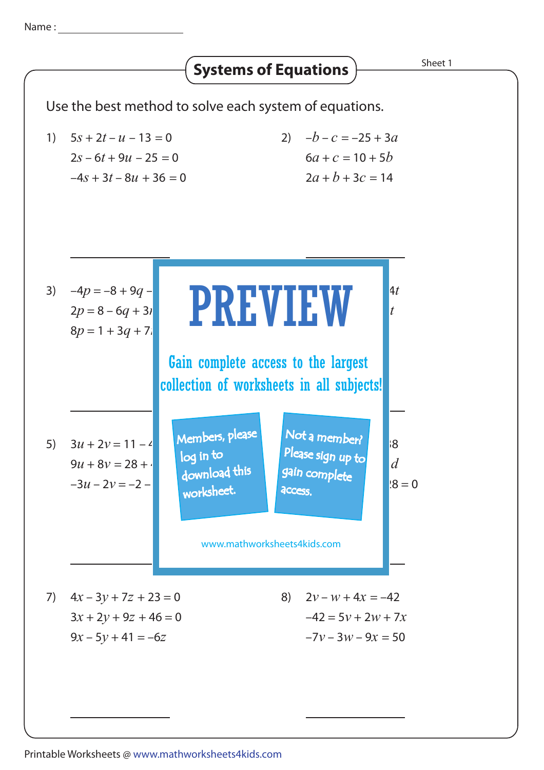